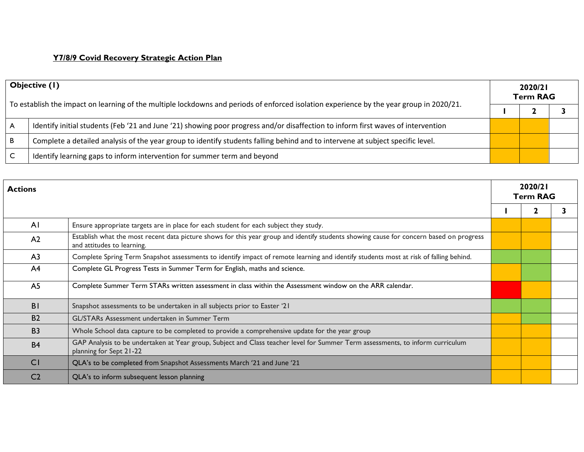## **Y7/8/9 Covid Recovery Strategic Action Plan**

| Objective (1)<br>To establish the impact on learning of the multiple lockdowns and periods of enforced isolation experience by the year group in 2020/21. |                                                                                                                                  | 2020/21<br><b>Term RAG</b> |  |  |
|-----------------------------------------------------------------------------------------------------------------------------------------------------------|----------------------------------------------------------------------------------------------------------------------------------|----------------------------|--|--|
|                                                                                                                                                           |                                                                                                                                  |                            |  |  |
| ∣ A                                                                                                                                                       | Identify initial students (Feb '21 and June '21) showing poor progress and/or disaffection to inform first waves of intervention |                            |  |  |
| ΙB.                                                                                                                                                       | Complete a detailed analysis of the year group to identify students falling behind and to intervene at subject specific level.   |                            |  |  |
|                                                                                                                                                           | Identify learning gaps to inform intervention for summer term and beyond                                                         |                            |  |  |

| <b>Actions</b> |                                                                                                                                                                       |  | 2020/21<br><b>Term RAG</b> |  |  |
|----------------|-----------------------------------------------------------------------------------------------------------------------------------------------------------------------|--|----------------------------|--|--|
|                |                                                                                                                                                                       |  |                            |  |  |
| AI             | Ensure appropriate targets are in place for each student for each subject they study.                                                                                 |  |                            |  |  |
| A <sub>2</sub> | Establish what the most recent data picture shows for this year group and identify students showing cause for concern based on progress<br>and attitudes to learning. |  |                            |  |  |
| A <sub>3</sub> | Complete Spring Term Snapshot assessments to identify impact of remote learning and identify students most at risk of falling behind.                                 |  |                            |  |  |
| A <sup>4</sup> | Complete GL Progress Tests in Summer Term for English, maths and science.                                                                                             |  |                            |  |  |
| A <sub>5</sub> | Complete Summer Term STARs written assessment in class within the Assessment window on the ARR calendar.                                                              |  |                            |  |  |
| B <sub>1</sub> | Snapshot assessments to be undertaken in all subjects prior to Easter '21                                                                                             |  |                            |  |  |
| <b>B2</b>      | GL/STARs Assessment undertaken in Summer Term                                                                                                                         |  |                            |  |  |
| <b>B3</b>      | Whole School data capture to be completed to provide a comprehensive update for the year group                                                                        |  |                            |  |  |
| <b>B4</b>      | GAP Analysis to be undertaken at Year group, Subject and Class teacher level for Summer Term assessments, to inform curriculum<br>planning for Sept 21-22             |  |                            |  |  |
| <b>CI</b>      | QLA's to be completed from Snapshot Assessments March '21 and June '21                                                                                                |  |                            |  |  |
| C <sub>2</sub> | QLA's to inform subsequent lesson planning                                                                                                                            |  |                            |  |  |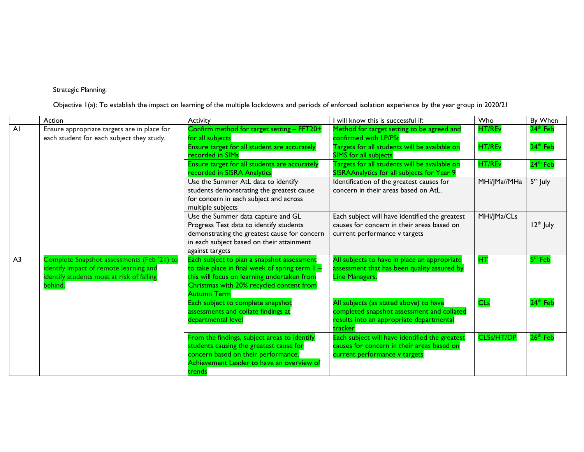## Strategic Planning:

Objective 1(a): To establish the impact on learning of the multiple lockdowns and periods of enforced isolation experience by the year group in 2020/21

|                | Action                                      | Activity                                                       | I will know this is successful if:             | Who               | By When               |
|----------------|---------------------------------------------|----------------------------------------------------------------|------------------------------------------------|-------------------|-----------------------|
| AI             | Ensure appropriate targets are in place for | Confirm method for target setting - FFT20+                     | Method for target setting to be agreed and     | <b>HT/REv</b>     | 24 <sup>th</sup> Feb  |
|                | each student for each subject they study.   | for all subjects                                               | confirmed with LP/PSt                          |                   |                       |
|                |                                             | Ensure target for all student are accurately                   | Targets for all students will be available on  | HT/REv            | 24 <sup>th</sup> Feb  |
|                |                                             | recorded in SIMs                                               | <b>SIMS</b> for all subjects                   |                   |                       |
|                |                                             | Ensure target for all students are accurately                  | Targets for all students will be available on  | <b>HT/REv</b>     | 24 <sup>th</sup> Feb  |
|                |                                             | recorded in SISRA Analytics                                    | SISRAAnalytics for all subjects for Year 9     |                   |                       |
|                |                                             | Use the Summer AtL data to identify                            | Identification of the greatest causes for      | MHi/JMa//MHa      | 5 <sup>th</sup> July  |
|                |                                             | students demonstrating the greatest cause                      | concern in their areas based on AtL.           |                   |                       |
|                |                                             | for concern in each subject and across                         |                                                |                   |                       |
|                |                                             | multiple subjects                                              |                                                |                   |                       |
|                |                                             | Use the Summer data capture and GL                             | Each subject will have identified the greatest | MHi/JMa/CLs       |                       |
|                |                                             | Progress Test data to identify students                        | causes for concern in their areas based on     |                   | 12 <sup>th</sup> July |
|                |                                             | demonstrating the greatest cause for concern                   | current performance v targets                  |                   |                       |
|                |                                             | in each subject based on their attainment                      |                                                |                   |                       |
|                |                                             | against targets                                                |                                                |                   |                       |
| A <sub>3</sub> | Complete Snapshot assessments (Feb '21) to  | Each subject to plan a snapshot assessment                     | All subjects to have in place an appropriate   | HT.               | $5th$ Feb             |
|                | dentify impact of remote learning and       | to take place in final week of spring term I -                 | assessment that has been quality assured by    |                   |                       |
|                | dentify students most at risk of falling    | this will focus on learning undertaken from                    | <b>Line Managers.</b>                          |                   |                       |
|                | behind.                                     | Christmas with 20% recycled content from<br><b>Autumn Term</b> |                                                |                   |                       |
|                |                                             | Each subject to complete snapshot                              | All subjects (as stated above) to have         | <b>CLs</b>        | 24 <sup>th</sup> Feb  |
|                |                                             | assessments and collate findings at                            | completed snapshot assessment and collated     |                   |                       |
|                |                                             | departmental level                                             | results into an appropriate departmental       |                   |                       |
|                |                                             |                                                                | tracker                                        |                   |                       |
|                |                                             | From the findings, subject areas to identify                   | Each subject will have identified the greatest | <b>CLSs/HT/DP</b> | 26 <sup>th</sup> Feb  |
|                |                                             | students causing the greatest cause for                        | causes for concern in their areas based on     |                   |                       |
|                |                                             | concern based on their performance.                            | current performance v targets                  |                   |                       |
|                |                                             | Achievement Leader to have an overview of                      |                                                |                   |                       |
|                |                                             | trends                                                         |                                                |                   |                       |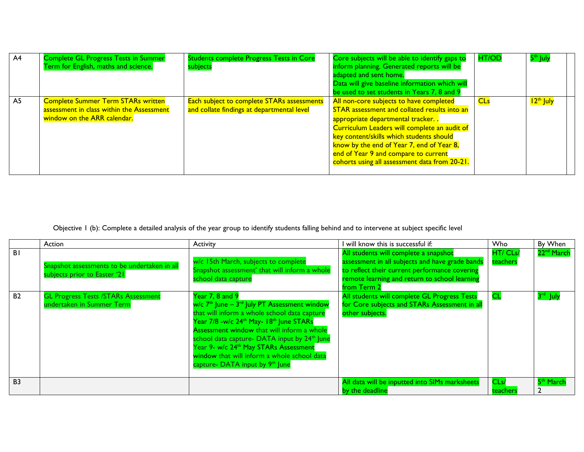| A <sup>4</sup> | <b>Complete GL Progress Tests in Summer</b><br>Term for English, maths and science.                                   | <b>Students complete Progress Tests in Core</b><br>subjects                              | Core subjects will be able to identify gaps to<br>inform planning. Generated reports will be<br>adapted and sent home.<br>Data will give baseline information which will<br>be used to set students in Years 7, 8 and 9                                                                                                                                       | <b>HT/OD</b> | 5 <sup>th</sup> July  |
|----------------|-----------------------------------------------------------------------------------------------------------------------|------------------------------------------------------------------------------------------|---------------------------------------------------------------------------------------------------------------------------------------------------------------------------------------------------------------------------------------------------------------------------------------------------------------------------------------------------------------|--------------|-----------------------|
| A5             | <b>Complete Summer Term STARs written</b><br>assessment in class within the Assessment<br>window on the ARR calendar. | Each subject to complete STARs assessments<br>and collate findings at departmental level | All non-core subjects to have completed<br>STAR assessment and collated results into an<br>appropriate departmental tracker<br>Curriculum Leaders will complete an audit of<br>key content/skills which students should<br>know by the end of Year 7, end of Year 8,<br>end of Year 9 and compare to current<br>cohorts using all assessment data from 20-21. | <b>CLs</b>   | 12 <sup>th</sup> July |

Objective 1 (b): Complete a detailed analysis of the year group to identify students falling behind and to intervene at subject specific level

|                | Action                                                                       | <b>Activity</b>                                                                                                                                                                                                                                                                                                                                                                                                                                                           | will know this is successful if:                                                                                                                                                                          | <b>Who</b>           | By When                |
|----------------|------------------------------------------------------------------------------|---------------------------------------------------------------------------------------------------------------------------------------------------------------------------------------------------------------------------------------------------------------------------------------------------------------------------------------------------------------------------------------------------------------------------------------------------------------------------|-----------------------------------------------------------------------------------------------------------------------------------------------------------------------------------------------------------|----------------------|------------------------|
| <b>BI</b>      | Snapshot assessments to be undertaken in all<br>subjects prior to Easter '21 | w/c 15th March, subjects to complete<br>Snapshot assessment' that will inform a whole<br>school data capture                                                                                                                                                                                                                                                                                                                                                              | All students will complete a snapshot<br>assessment in all subjects and have grade bands<br>to reflect their current performance covering<br>remote learning and return to school learning<br>from Term 2 | HT/ CLs/<br>teachers | 22 <sup>nd</sup> March |
| B <sub>2</sub> | <b>GL Progress Tests /STARs Assessment</b><br>undertaken in Summer Term      | Year 7, 8 and 9<br>$w/c$ 7 <sup>th</sup> June – 3 <sup>rd</sup> July PT Assessment window<br>that will inform a whole school data capture<br>Year 7/8 -w/c 24 <sup>th</sup> May- 18 <sup>th</sup> June STARs<br>Assessment window that will inform a whole<br>school data capture- DATA input by 24 <sup>th</sup> June<br>Year 9- w/c 24 <sup>th</sup> May STARs Assessment<br>window that will inform a whole school data<br>capture- DATA input by 9 <sup>th</sup> June | All students will complete GL Progress Tests<br>for Core subjects and STARs Assessment in all<br>other subjects.                                                                                          | <b>CL</b>            | 3 <sup>rd</sup> July   |
| <b>B3</b>      |                                                                              |                                                                                                                                                                                                                                                                                                                                                                                                                                                                           | All data will be inputted into SIMs marksheets<br>by the deadline                                                                                                                                         | CLs/<br>teachers     | 5 <sup>th</sup> March  |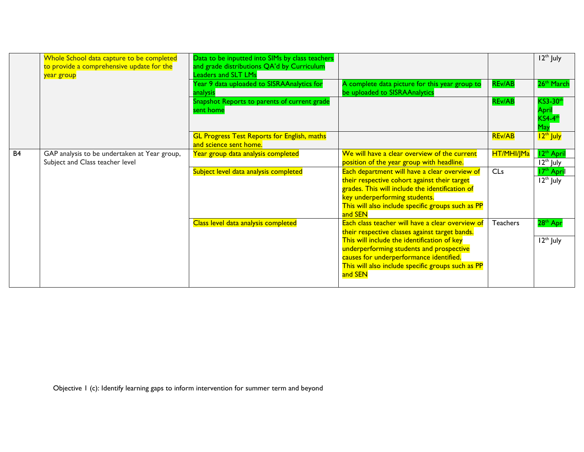|           | Whole School data capture to be completed<br>to provide a comprehensive update for the<br>year group | Data to be inputted into SIMs by class teachers<br>and grade distributions QA'd by Curriculum<br>Leaders and SLT LMs<br>Year 9 data uploaded to SISRAAnalytics for<br>analysis | A complete data picture for this year group to<br>be uploaded to SISRAAnalytics                                                                                                                                                                                                                          | <b>REv/AB</b>   | $12th$ July<br>26 <sup>th</sup> March                 |
|-----------|------------------------------------------------------------------------------------------------------|--------------------------------------------------------------------------------------------------------------------------------------------------------------------------------|----------------------------------------------------------------------------------------------------------------------------------------------------------------------------------------------------------------------------------------------------------------------------------------------------------|-----------------|-------------------------------------------------------|
|           |                                                                                                      | Snapshot Reports to parents of current grade<br>sent home                                                                                                                      |                                                                                                                                                                                                                                                                                                          | <b>REv/AB</b>   | <b>KS3-30th</b><br>April<br>$KS4-4$ t<br>May          |
|           |                                                                                                      | <b>GL Progress Test Reports for English, maths</b><br>and science sent home.                                                                                                   |                                                                                                                                                                                                                                                                                                          | <b>REv/AB</b>   | 12 <sup>th</sup> July                                 |
| <b>B4</b> | GAP analysis to be undertaken at Year group,<br>Subject and Class teacher level                      | Year group data analysis completed                                                                                                                                             | We will have a clear overview of the current<br>position of the year group with headline.                                                                                                                                                                                                                | HT/MHI/JMa      | 12 <sup>th</sup> Apri<br>$12th$ July                  |
|           |                                                                                                      | Subject level data analysis completed                                                                                                                                          | Each department will have a clear overview of<br>their respective cohort against their target<br>grades. This will include the identification of<br>key underperforming students.<br>This will also include specific groups such as PP<br>and SEN                                                        | CLs             | <b>T7th April</b><br>$\overline{12}^{\text{th}}$ July |
|           |                                                                                                      | Class level data analysis completed                                                                                                                                            | Each class teacher will have a clear overview of<br>their respective classes against target bands.<br>This will include the identification of key<br>underperforming students and prospective<br>causes for underperformance identified.<br>This will also include specific groups such as PP<br>and SEN | <b>Teachers</b> | 28 <sup>th</sup> Apr<br>12 <sup>th</sup> July         |